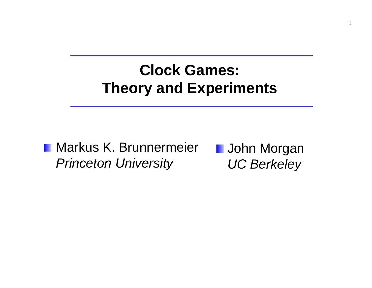### **Clock Games: Theory and Experiments**

### **Markus K. Brunnermeier** *Princeton University*

**L** John Morgan *UC Berkeley*

1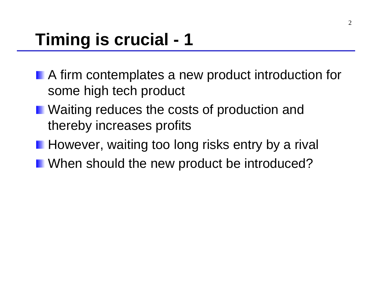- **A** firm contemplates a new product introduction for some high tech product
- Waiting reduces the costs of production and thereby increases profits
- **However, waiting too long risks entry by a rival**
- **Notally When should the new product be introduced?**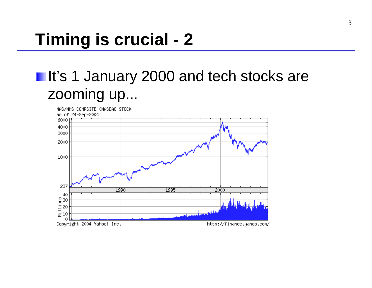### **It's 1 January 2000 and tech stocks are** zooming up...

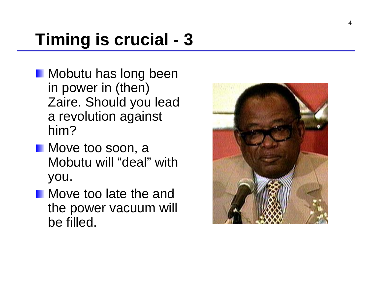- **Mobutu has long been** in power in (then) Zaire. Should you lead a revolution against him?
- **Move too soon, a** Mobutu will "deal" with you.
- **Nove too late the and** the power vacuum will be filled.

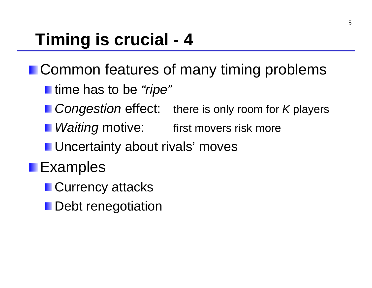- **I.** Common features of many timing problems
	- **I** time has to be "ripe"
	- *Congestion* effect: there is only room for *K* players
	- **I** *Waiting* motive: first movers risk more
	- Uncertainty about rivals' moves
- **Examples** 
	- **Currency attacks**
	- **Debt renegotiation**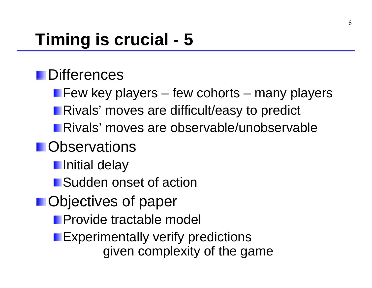### **Differences**

Few key players – few cohorts – many players Rivals' moves are difficult/easy to predict Rivals' moves are observable/unobservable

### **n** Observations

**I**nitial delay

**Sudden onset of action** 

### **Desettives of paper**

**Provide tractable model** 

**Experimentally verify predictions** given complexity of the game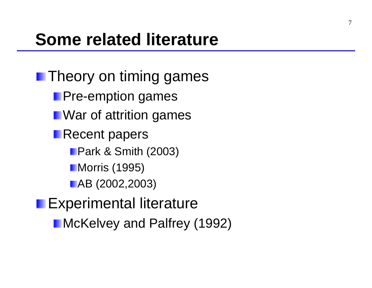**Theory on timing games Pre-emption games Next** War of attrition games **Recent papers Park & Smith (2003) Morris (1995) AB** (2002,2003)

**Experimental literature** 

**McKelvey and Palfrey (1992)**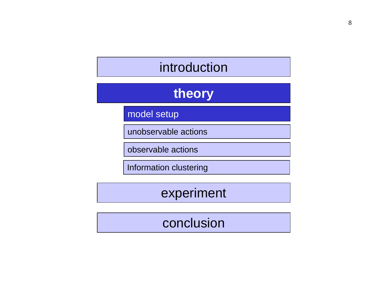### introduction

### **theory**

model setup

unobservable actions

observable actions

Information clustering

experiment

#### conclusion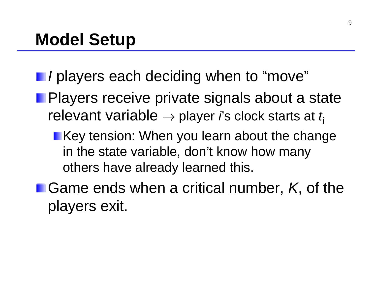- *I* players each deciding when to "move"
- **Players receive private signals about a state** relevant variable → player *i*'s clock starts at *t*<sup>i</sup>
	- **Key tension: When you learn about the change** in the state variable, don't know how many others have already learned this.
- **E.** Game ends when a critical number, *K*, of the players exit.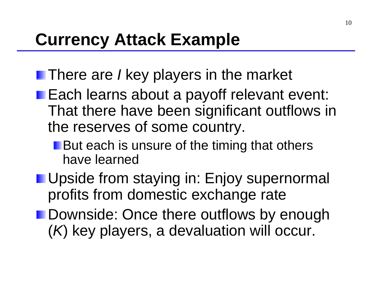- There are *I* key players in the market
- **Each learns about a payoff relevant event:** That there have been significant outflows in the reserves of some country.
	- **But each is unsure of the timing that others** have learned
- **Upside from staying in: Enjoy supernormal** profits from domestic exchange rate
- **Downside: Once there outflows by enough** ( *K*) key players, a devaluation will occur.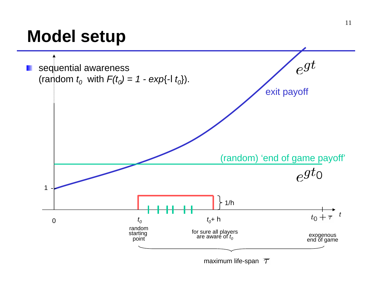## **Model setup**

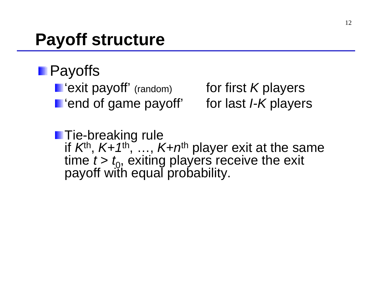## **Payoff structure**

### **Payoffs**

- **I** 'exit payoff' (random)
- **F** 'end of game payoff' for last *I-K* players

*K* players

**Tie-breaking rule** if *K*th, *K+1*th, …, *K+n*th player exit at the same time *t* > *t*<sub>0</sub>, exiting players receive the exit<br>payoff with equal probability.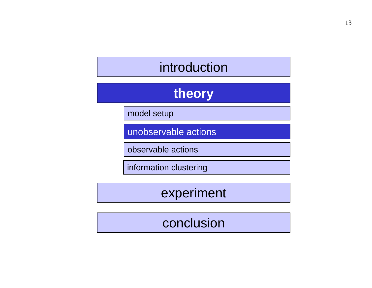### introduction

### **theory**

model setup

unobservable actions

observable actions

information clustering

experiment

#### conclusion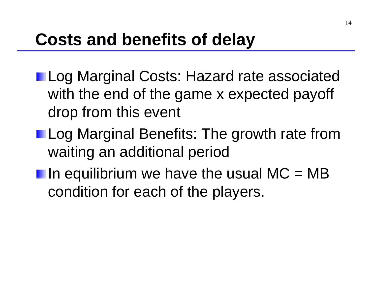## **Costs and benefits of delay**

- **Log Marginal Costs: Hazard rate associated** with the end of the game x expected payoff drop from this event
- **Log Marginal Benefits: The growth rate from** waiting an additional period
- In equilibrium we have the usual  $MC = MB$ condition for each of the players.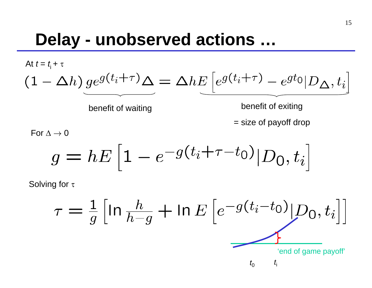## **Delay - unobserved actions …**

At 
$$
t = t_i + \tau
$$
  
\n
$$
(1 - \Delta h) \underbrace{ge^{g(t_i + \tau)}\Delta}_{\text{benefit of waiting}} = \Delta h E \underbrace{[e^{g(t_i + \tau)} - e^{gt_0} | D_{\Delta}, t_i]}_{\text{benefit of exiting}} = \text{size of payoff drop}
$$

For  $\Delta \rightarrow 0$ 

$$
g = hE \left[ 1 - e^{-g(t_i + \tau - t_0)} | D_0, t_i \right]
$$

Solving for τ

$$
\tau = \frac{1}{g} \left[ \ln \frac{h}{h-g} + \ln E \left[ e^{-g(t_i - t_0)} | D_0, t_i \right] \right]
$$
\n
$$
\underbrace{\phantom{\sum_{i=1}^{n}}\sum_{t_i=1}^{h} \prod_{j=1}^{h} \prod_{j=1}^{h} \prod_{t_i=1}^{h} \prod_{j=1}^{h} \prod_{j=1}^{h} \prod_{j=1}^{h} \prod_{j=1}^{h} \prod_{j=1}^{h} \prod_{j=1}^{h} \prod_{j=1}^{h} \prod_{j=1}^{h} \prod_{j=1}^{h} \prod_{j=1}^{h} \prod_{j=1}^{h} \prod_{j=1}^{h} \prod_{j=1}^{h} \prod_{j=1}^{h} \prod_{j=1}^{h} \prod_{j=1}^{h} \prod_{j=1}^{h} \prod_{j=1}^{h} \prod_{j=1}^{h} \prod_{j=1}^{h} \prod_{j=1}^{h} \prod_{j=1}^{h} \prod_{j=1}^{h} \prod_{j=1}^{h} \prod_{j=1}^{h} \prod_{j=1}^{h} \prod_{j=1}^{h} \prod_{j=1}^{h} \prod_{j=1}^{h} \prod_{j=1}^{h} \prod_{j=1}^{h} \prod_{j=1}^{h} \prod_{j=1}^{h} \prod_{j=1}^{h} \prod_{j=1}^{h} \prod_{j=1}^{h} \prod_{j=1}^{h} \prod_{j=1}^{h} \prod_{j=1}^{h} \prod_{j=1}^{h} \prod_{j=1}^{h} \prod_{j=1}^{h} \prod_{j=1}^{h} \prod_{j=1}^{h} \prod_{j=1}^{h} \prod_{j=1}^{h} \prod_{j=1}^{h} \prod_{j=1}^{h} \prod_{j=1}^{h} \prod_{j=1}^{h} \prod_{j=1}^{h} \prod_{j=1}^{h} \prod_{j=1}^{h} \prod_{j=1}^{h} \prod_{j=1}^{h} \prod_{j=1}^{h} \prod_{j=1}^{h} \prod_{j=1}^{h} \prod_{j=1}^{h} \prod_{j=1}^{h} \prod_{j=1}^{h} \prod_{j=1}^{h} \prod_{j=1}^{h} \prod_{j=1}^{h} \
$$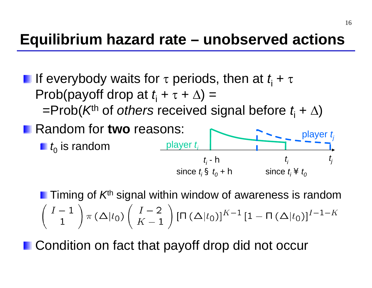### **Equilibrium hazard rate – unobserved actions**

**If everybody waits for τ periods, then at**  $t_$  **+ τ** Prob(payoff drop at  $t_i + \tau + \Delta$ ) = =Prob( *K*th of *others* received signal before *t*i <sup>+</sup> ∆ ) Random for **two** reasons:

 $t_{\rm 0}$  is random

Timing of *K*th signal within window of awareness is random  $\left(\begin{array}{c}I-1\\1\end{array}\right)\pi\left(\Delta|t_0\right)\left(\begin{array}{c}I-2\\K-1\end{array}\right)[\Pi\left(\Delta|t_0\right)]^{K-1}\left[1-\Pi\left(\Delta|t_0\right)\right]^{I-1-K}$ 

*t i* - h

**h** since  $t_i$  ¥  $t_o$ 

*t i*

player *tj*

*tj*

since *t<sub>i</sub>* § *t<sub>0</sub>* + **h** 

player *ti*

**n** Condition on fact that payoff drop did not occur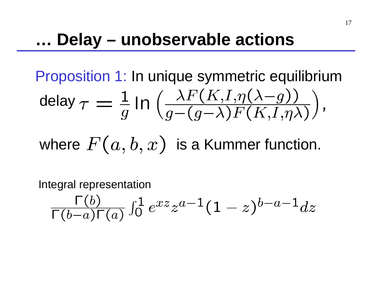## **… Delay – unobservable actions**

Proposition 1: In unique symmetric equilibrium

$$
\text{delay } \tau = \frac{1}{g} \ln \left( \frac{\lambda F(K, I, \eta(\lambda - g))}{g - (g - \lambda) F(K, I, \eta \lambda)} \right),
$$

where  $F(a, b, x)$  is a Kummer function.

Integral representation

$$
\tfrac{\Gamma(b)}{\Gamma(b-a)\Gamma(a)}\smallint_0^1e^{xz}z^{a-1}(1-z)^{b-a-1}dz
$$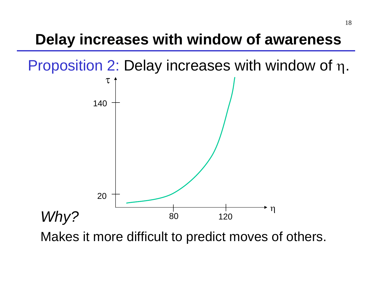### **Delay increases with window of awareness**

Proposition 2: Delay increases with window of η.



Makes it more difficult to predict moves of others.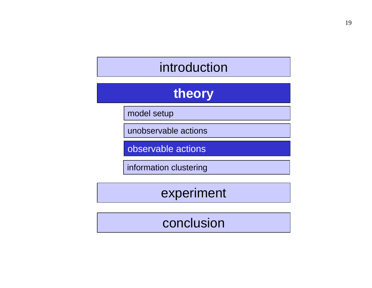### introduction

### **theory**

model setup

unobservable actions

observable actions

information clustering

experiment

#### conclusion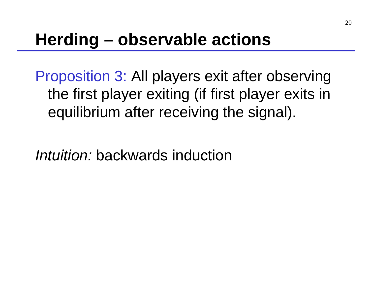## **Herding – observable actions**

Proposition 3: All players exit after observing the first player exiting (if first player exits in equilibrium after receiving the signal).

*Intuition:* backwards induction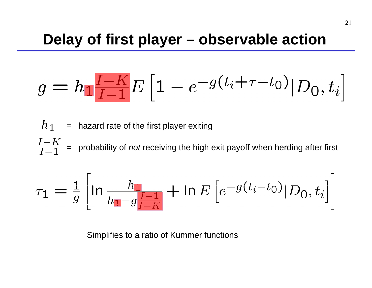$$
g = h_1 \frac{I - K}{I - 1} E\left[1 - e^{-g(t_i + \tau - t_0)} | D_0, t_i\right]
$$

 $h_1$ = hazard rate of the first player exiting  $\frac{I-K}{I-1}$  = probability of *not* receiving the high exit payoff when herding after first

$$
\tau_1 = \frac{1}{g} \left[ \ln \frac{h_1}{h_1 - g \frac{I - 1}{I - K}} + \ln E \left[ e^{-g(t_i - t_0)} | D_0, t_i \right] \right]
$$

Simplifies to a ratio of Kummer functions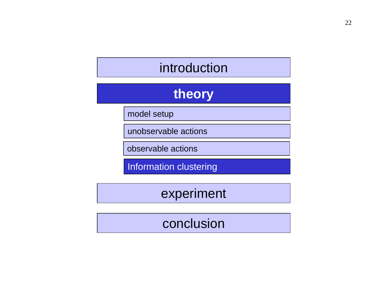### introduction

### **theory**

model setup

unobservable actions

observable actions

Information clustering

experiment

#### conclusion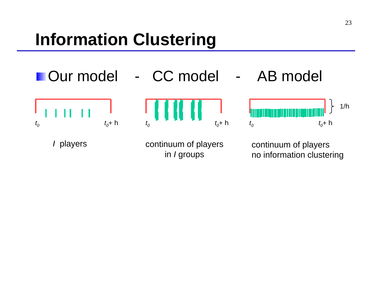## **Information Clustering**



in *I* groups

no information clustering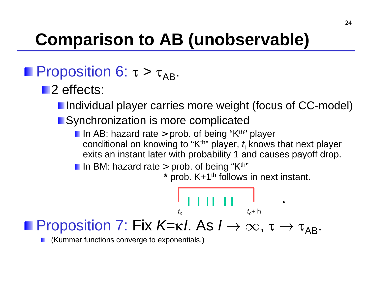# **Comparison to AB (unobservable)**

### Proposition 6: τ >  $\tau_\mathsf{AB}$ .

- **2** effects:
	- **I** Individual player carries more weight (focus of CC-model)

#### **Synchronization is more complicated**

- In AB: hazard rate > prob. of being "K<sup>th</sup>" player conditional on knowing to "K<sup>th</sup>" player, *t*<sub>i</sub> knows that next player exits an instant later with probability 1 and causes payoff drop.
- In BM: hazard rate > prob. of being "K $^{\rm th}$ "

**\*** prob. K+1th follows in next instant.



### Proposition 7: Fix *K*=κ*l*. As  $I \to \infty$ , τ  $\to$  τ<sub>AB</sub>.

(Kummer functions converge to exponentials.)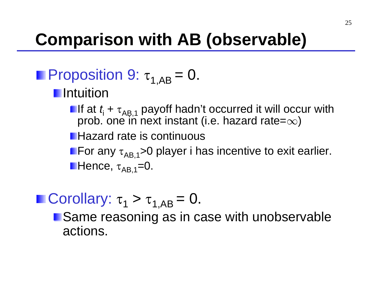## **Comparison with AB (observable)**

### Proposition 9:  $\tau^{\,}_{\rm 1, AB}$  = 0. **I**ntuition

- If at *t*<sub>i</sub> + τ<sub>AB,1</sub> payoff hadn't occurred it will occur with<br>prob. one in next instant (i.e. hazard rate=∞) prob. one in next instant (i.e. hazard rate= $\infty$ )
- **Hazard rate is continuous**

For any  $\tau_{\sf AB,1}$ >0 player i has incentive to exit earlier. Hence, τ<sub>AB,1</sub>=0.

### Corollary:  $\tau_{1} > \tau_{1,AB} = 0$ .

**Same reasoning as in case with unobservable** actions.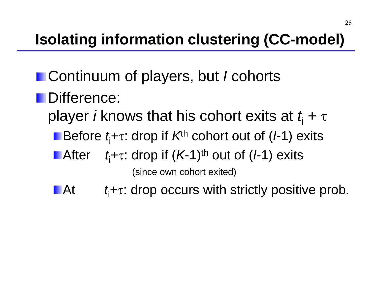## **Isolating information clustering (CC-model)**

- Continuum of players, but *I* cohorts **Difference: player** *i* **knows that his cohort exits at**  $t_{\mathsf{i}}$  **+ τ** Before *t*<sub>i</sub>+τ: drop if *K*<sup>th</sup> cohort out of (*I*-1) exits **■ After** *t*i+ <sup>τ</sup>: drop if ( *K*-1)th out of ( *I*-1) exits (since own cohort exited)
	- **LAt** *t*i+ τ: drop occurs with strictly positive prob.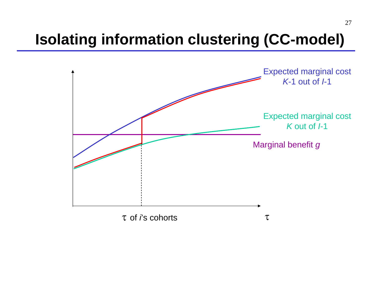### **Isolating information clustering (CC-model)**

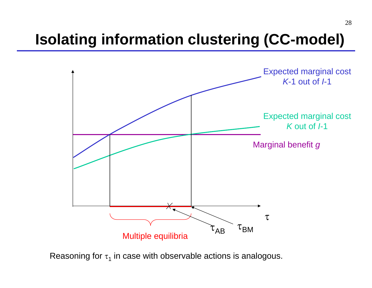### **Isolating information clustering (CC-model)**



Reasoning for  $\operatorname{\tau_{1}}$  in case with observable actions is analogous.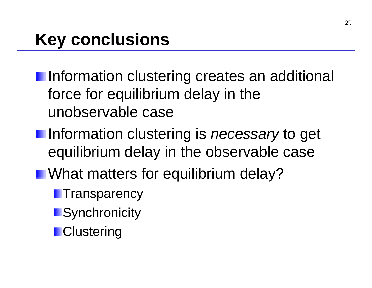- **Information clustering creates an additional** force for equilibrium delay in the unobservable case
- Information clustering is *necessary* to get equilibrium delay in the observable case
- **Not matters for equilibrium delay?** 
	- **Transparency**
	- **Synchronicity**
	- **Clustering**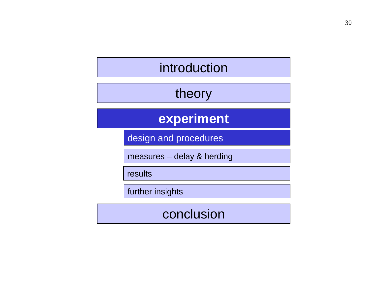### introduction

#### theory

#### **experiment**

design and procedures

measures – delay & herding

results

further insights

#### conclusion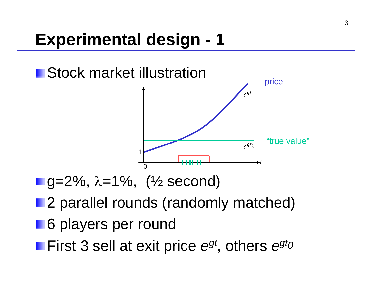

- g=2%, λ=1%, (½ second)
- **2** parallel rounds (randomly matched)
- **6 players per round**
- First 3 sell at exit price  $e^{gt}$ , others  $e^{gt}$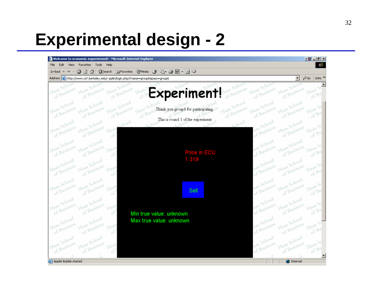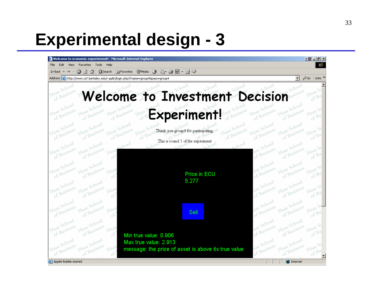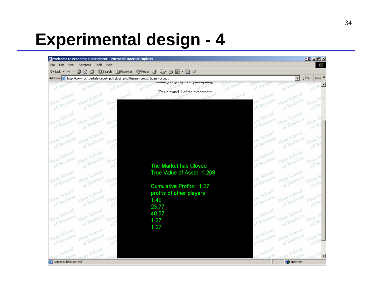

34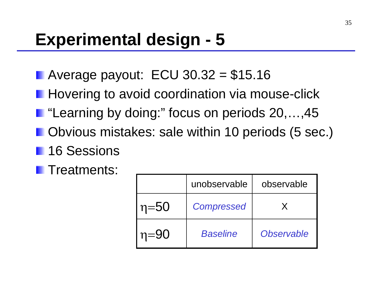- Average payout:  $ECU$  30.32 = \$15.16
- **Hovering to avoid coordination via mouse-click**
- "Learning by doing:" focus on periods 20,...,45
- **Detagoral Departm 10 Deriods (5 sec.)** Obvious mistakes: sale within 10 periods (5 sec.)
- **16 Sessions**
- **Treatments:**

|          | unobservable      | observable |
|----------|-------------------|------------|
| $n = 50$ | <b>Compressed</b> |            |
| $n = 90$ | <b>Baseline</b>   | Observable |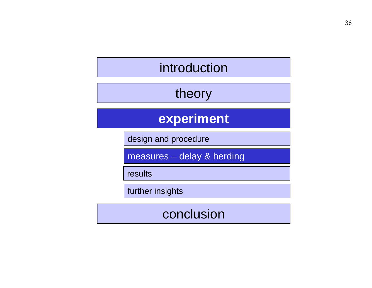### introduction

### theory

### **experiment**

design and procedure

measures – delay & herding

results

further insights

#### conclusion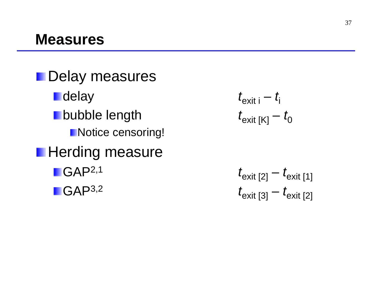**Delay measures** *<u>r</u> delay*  $**b**$ **ubble length Notice censoring! Herding measure** *I* GAP<sup>2,1</sup> **t** GAP<sup>3,2</sup>

$$
t_{\text{exit i}} - t_{\text{i}}
$$

$$
t_{\text{exit [K]}} - t_{0}
$$

$$
t_{\text{exit [2]}} - t_{\text{exit [1]}}
$$

$$
t_{\text{exit [3]}} - t_{\text{exit [2]}}
$$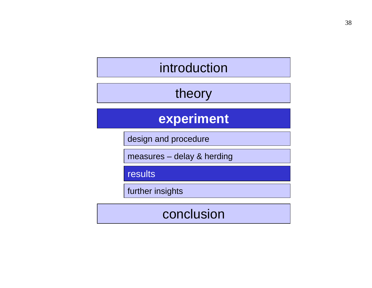### introduction

### theory

### **experiment**

design and procedure

measures – delay & herding

results

further insights

#### conclusion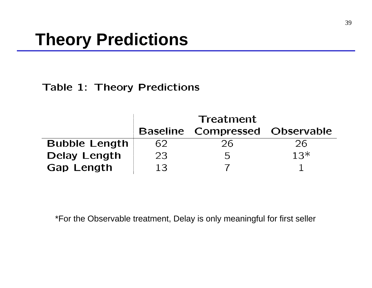#### **Table 1: Theory Predictions**

|                      | <b>Treatment</b> |                                       |       |  |
|----------------------|------------------|---------------------------------------|-------|--|
|                      |                  | <b>Baseline Compressed Observable</b> |       |  |
| <b>Bubble Length</b> | 62               | 26                                    | 26.   |  |
| <b>Delay Length</b>  | 23               | ト                                     | $13*$ |  |
| <b>Gap Length</b>    | 13               |                                       |       |  |

\*For the Observable treatment, Delay is only meaningful for first seller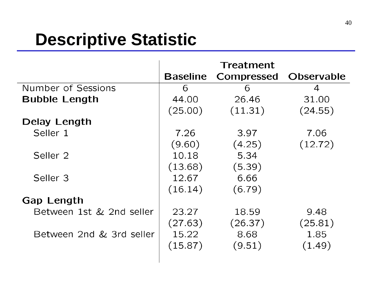## **Descriptive Statistic**

|                           |                 | Treatment  |                   |
|---------------------------|-----------------|------------|-------------------|
|                           | <b>Baseline</b> | Compressed | <b>Observable</b> |
| <b>Number of Sessions</b> | 6               | 6          | 4                 |
| <b>Bubble Length</b>      | 44.00           | 26.46      | 31.00             |
|                           | (25.00)         | (11.31)    | (24.55)           |
| Delay Length              |                 |            |                   |
| Seller 1                  | 7.26            | 3.97       | 7.06              |
|                           | (9.60)          | (4.25)     | (12.72)           |
| Seller <sub>2</sub>       | 10.18           | 5.34       |                   |
|                           | (13.68)         | (5.39)     |                   |
| Seller <sub>3</sub>       | 12.67           | 6.66       |                   |
|                           | (16.14)         | (6.79)     |                   |
| <b>Gap Length</b>         |                 |            |                   |
| Between 1st & 2nd seller  | 23.27           | 18.59      | 9.48              |
|                           | (27.63)         | (26.37)    | (25.81)           |
| Between 2nd & 3rd seller  | 15.22           | 8.68       | 1.85              |
|                           | (15.87)         | (9.51)     | (1.49)            |
|                           |                 |            |                   |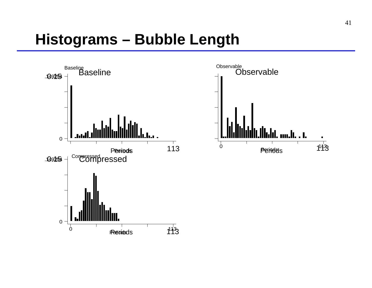### **Histograms – Bubble Length**

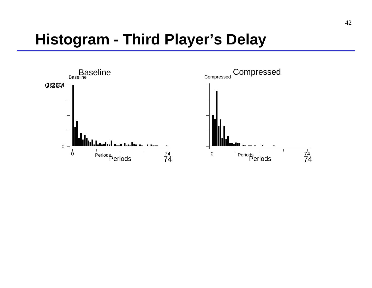### **Histogram - Third Player's Delay**

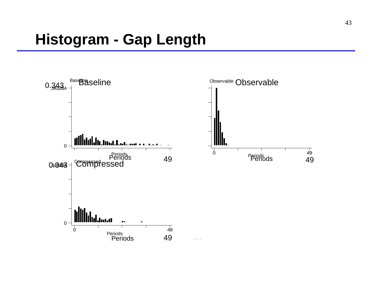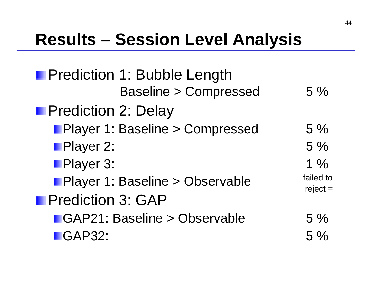## **Results – Session Level Analysis**

| <b>Prediction 1: Bubble Length</b> |                         |
|------------------------------------|-------------------------|
| <b>Baseline &gt; Compressed</b>    | 5%                      |
| <b>Prediction 2: Delay</b>         |                         |
| Player 1: Baseline > Compressed    | $5\%$                   |
| <b>Player 2:</b>                   | 5%                      |
| Player 3:                          | $1\%$                   |
| Player 1: Baseline > Observable    | failed to<br>$reject =$ |
| <b>Prediction 3: GAP</b>           |                         |
| GAP21: Baseline > Observable       | $5\%$                   |
| $\blacksquare$ GAP32:              | $5\%$                   |
|                                    |                         |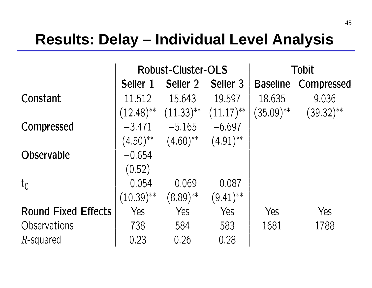### **Results: Delay – Individual Level Analysis**

|                            |              | Robust-Cluster-OLS                                                      | <b>Tobit</b>           |                 |              |
|----------------------------|--------------|-------------------------------------------------------------------------|------------------------|-----------------|--------------|
|                            | Seller 1     | Seller 2                                                                | Seller 3               | <b>Baseline</b> | Compressed   |
| Constant                   | 11.512       | 15.643                                                                  | 19.597                 | 18.635          | 9.036        |
|                            |              | $(12.48)$ <sup>**</sup> $(11.33)$ <sup>**</sup> $(11.17)$ <sup>**</sup> |                        | $(35.09)^{**}$  | $(39.32)$ ** |
| Compressed                 | $-3.471$     | $-5.165$                                                                | $-6.697$               |                 |              |
|                            |              | $(4.50)$ <sup>**</sup> $(4.60)$ <sup>**</sup>                           | $(4.91)$ <sup>**</sup> |                 |              |
| <b>Observable</b>          | $-0.654$     |                                                                         |                        |                 |              |
|                            | (0.52)       |                                                                         |                        |                 |              |
| $t_0$                      | $-0.054$     | $-0.069$                                                                | $-0.087$               |                 |              |
|                            | $(10.39)$ ** | $(8.89)$ **                                                             | $(9.41)$ <sup>**</sup> |                 |              |
| <b>Round Fixed Effects</b> | Yes          | Yes                                                                     | Yes                    | Yes             | Yes          |
| Observations               | 738          | 584                                                                     | 583                    | 1681            | 1788         |
| $R$ -squared               | 0.23         | 0.26                                                                    | 0.28                   |                 |              |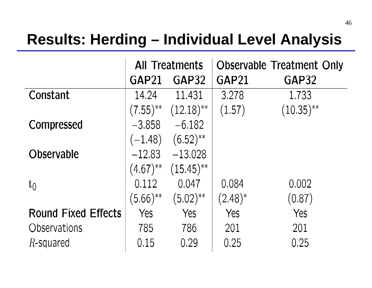### **Results: Herding – Individual Level Analysis**

|                            | <b>All Treatments</b> |                                                | <b>Observable Treatment Only</b> |              |  |
|----------------------------|-----------------------|------------------------------------------------|----------------------------------|--------------|--|
|                            | GAP21                 | GAP32                                          | GAP21                            | GAP32        |  |
| Constant                   | 14.24                 | 11.431                                         | 3.278                            | 1.733        |  |
|                            |                       | $(7.55)$ <sup>**</sup> $(12.18)$ <sup>**</sup> | (1.57)                           | $(10.35)$ ** |  |
| <b>Compressed</b>          | $-3.858$              | $-6.182$                                       |                                  |              |  |
|                            | $(-1.48)$             | $(6.52)$ <sup>**</sup>                         |                                  |              |  |
| <b>Observable</b>          | $-12.83$              | $-13.028$                                      |                                  |              |  |
|                            | $(4.67)$ **           | $(15.45)$ <sup>**</sup>                        |                                  |              |  |
| $t_0$                      | 0.112                 | 0.047                                          | 0.084                            | 0.002        |  |
|                            | $(5.66)$ **           | $(5.02)$ **                                    | $(2.48)^{*}$                     | (0.87)       |  |
| <b>Round Fixed Effects</b> | Yes                   | Yes                                            | Yes                              | Yes          |  |
| Observations               | 785                   | 786                                            | 201                              | 201          |  |
| $R$ -squared               | 0.15                  | 0.29                                           | 0.25                             | 0.25         |  |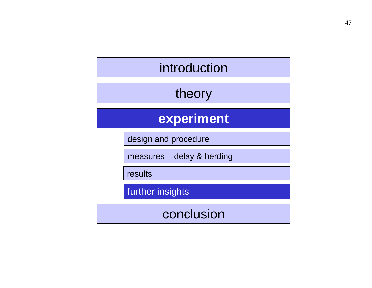### introduction

### theory

### **experiment**

design and procedure

measures – delay & herding

results

further insights

conclusion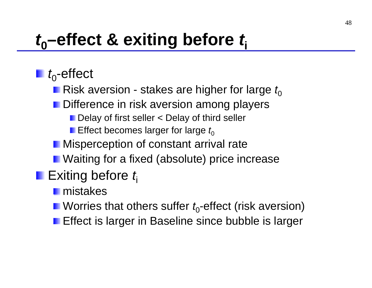## *<sup>t</sup>***0–effect & exiting before** *t***<sup>i</sup>**

 $\blacksquare$   $t_0$ -effect

- **Risk aversion stakes are higher for large**  $t_0$
- **Difference in risk aversion among players** 
	- Delay of first seller < Delay of third seller
	- **Effect becomes larger for large**  $t_0$
- **Misperception of constant arrival rate**
- **N** Waiting for a fixed (absolute) price increase

### ■ Exiting before *t*<sub>i</sub>

mistakes

- **N** Worries that others suffer  $t_0$ -effect (risk aversion)
- **Effect is larger in Baseline since bubble is larger**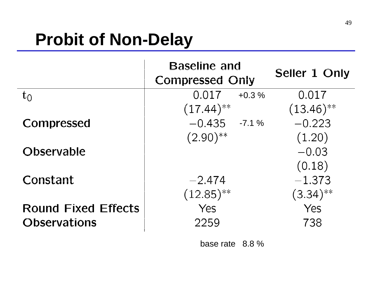## **Probit of Non-Delay**

|                            | <b>Baseline and</b><br><b>Compressed Only</b> | Seller 1 Only           |
|----------------------------|-----------------------------------------------|-------------------------|
| $t_0$                      | 0.017<br>$+0.3%$                              | 0.017                   |
|                            | $(17.44)$ **                                  | $(13.46)$ <sup>**</sup> |
| Compressed                 | $-0.435 - 7.1\%$                              | $-0.223$                |
|                            | $(2.90)$ <sup>**</sup>                        | (1.20)                  |
| <b>Observable</b>          |                                               | $-0.03$                 |
|                            |                                               | (0.18)                  |
| Constant                   | $-2.474$                                      | $-1.373$                |
|                            | $(12.85)$ <sup>**</sup>                       | $(3.34)$ **             |
| <b>Round Fixed Effects</b> | Yes                                           | Yes                     |
| <b>Observations</b>        | 2259                                          | 738                     |

base rate 8.8 %